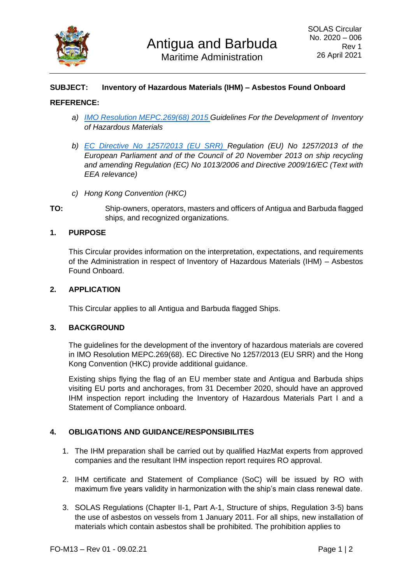

# **SUBJECT: Inventory of Hazardous Materials (IHM) – Asbestos Found Onboard**

## **REFERENCE:**

- *a) [IMO Resolution MEPC.269\(68\) 2015 G](https://wwwcdn.imo.org/localresources/en/OurWork/Environment/Documents/02-1%20RESOLUTION%20MEPC%20269(68)%20IHM%20Guidelines.pdf)uidelines For the Development of Inventory of Hazardous Materials*
- *b) [EC Directive No 1257/2013 \(EU SRR\)](https://www.legislation.gov.uk/eur/2013/1257/contents) Regulation (EU) No 1257/2013 of the European Parliament and of the Council of 20 November 2013 on ship recycling and amending Regulation (EC) No 1013/2006 and Directive 2009/16/EC (Text with EEA relevance)*
- *c) Hong Kong Convention (HKC)*
- **TO:** Ship-owners, operators, masters and officers of Antigua and Barbuda flagged ships, and recognized organizations.

## **1. PURPOSE**

This Circular provides information on the interpretation, expectations, and requirements of the Administration in respect of Inventory of Hazardous Materials (IHM) – Asbestos Found Onboard.

#### **2. APPLICATION**

This Circular applies to all Antigua and Barbuda flagged Ships.

#### **3. BACKGROUND**

The guidelines for the development of the inventory of hazardous materials are covered in IMO Resolution MEPC.269(68). EC Directive No 1257/2013 (EU SRR) and the Hong Kong Convention (HKC) provide additional guidance.

Existing ships flying the flag of an EU member state and Antigua and Barbuda ships visiting EU ports and anchorages, from 31 December 2020, should have an approved IHM inspection report including the Inventory of Hazardous Materials Part I and a Statement of Compliance onboard.

## **4. OBLIGATIONS AND GUIDANCE/RESPONSIBILITES**

- 1. The IHM preparation shall be carried out by qualified HazMat experts from approved companies and the resultant IHM inspection report requires RO approval.
- 2. IHM certificate and Statement of Compliance (SoC) will be issued by RO with maximum five years validity in harmonization with the ship's main class renewal date.
- 3. SOLAS Regulations (Chapter II-1, Part A-1, Structure of ships, Regulation 3-5) bans the use of asbestos on vessels from 1 January 2011. For all ships, new installation of materials which contain asbestos shall be prohibited. The prohibition applies to